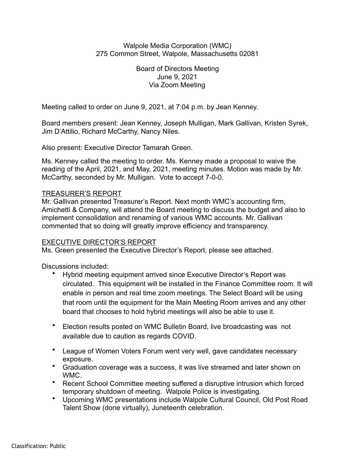### Walpole Media Corporation (WMC) 275 Common Street, Walpole, Massachusetts 02081

Board of Directors Meeting June 9, 2021 Via Zoom Meeting

Meeting called to order on June 9, 2021, at 7:04 p.m. by Jean Kenney.

Board members present: Jean Kenney, Joseph Mulligan, Mark Gallivan, Kristen Syrek, Jim D'Attilio, Richard McCarthy, Nancy Niles.

Also present: Executive Director Tamarah Green.

Ms. Kenney called the meeting to order. Ms. Kenney made a proposal to waive the reading of the April, 2021, and May, 2021, meeting minutes. Motion was made by Mr. McCarthy, seconded by Mr. Mulligan. Vote to accept 7-0-0.

# TREASURER'S REPORT

Mr. Gallivan presented Treasurer's Report. Next month WMC's accounting firm, Amichetti & Company, will attend the Board meeting to discuss the budget and also to implement consolidation and renaming of various WMC accounts. Mr. Gallivan commented that so doing will greatly improve efficiency and transparency.

## EXECUTIVE DIRECTOR'S REPORT

Ms. Green presented the Executive Director's Report, please see attached.

Discussions included:

- Hybrid meeting equipment arrived since Executive Director's Report was circulated. This equipment will be installed in the Finance Committee room. It will enable in person and real time zoom meetings. The Select Board will be using that room until the equipment for the Main Meeting Room arrives and any other board that chooses to hold hybrid meetings will also be able to use it.
- Election results posted on WMC Bulletin Board, live broadcasting was not available due to caution as regards COVID.
- League of Women Voters Forum went very well, gave candidates necessary exposure.
- Graduation coverage was a success, it was live streamed and later shown on WMC.
- Recent School Committee meeting suffered a disruptive intrusion which forced temporary shutdown of meeting. Walpole Police is investigating.
- Upcoming WMC presentations include Walpole Cultural Council, Old Post Road Talent Show (done virtually), Juneteenth celebration.